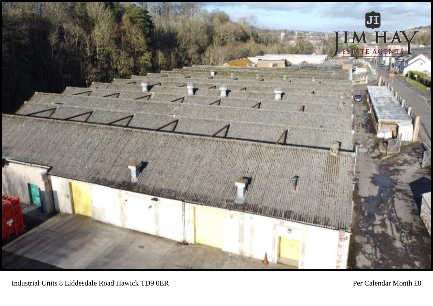

Per Calendar Month £0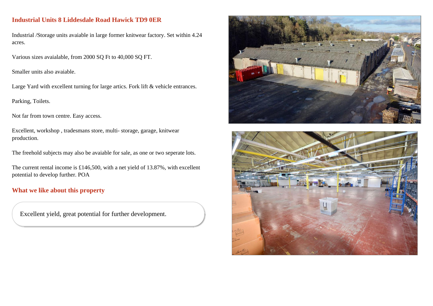## **Industrial Units 8 Liddesdale Road Hawick TD9 0ER**

Industrial /Storage units avaiable in large former knitwear factory. Set within 4.24 acres.

Various sizes avaialable, from 2000 SQ Ft to 40,000 SQ FT.

Smaller units also avaiable.

Large Yard with excellent turning for large artics. Fork lift & vehicle entrances.

Parking, Toilets.

Not far from town centre. Easy access.

Excellent, workshop , tradesmans store, multi- storage, garage, knitwear production.

The freehold subjects may also be avaiable for sale, as one or two seperate lots.

The current rental income is £146,500, with a net yield of 13.87%, with excellent potential to develop further. POA

## **What we like about this property**

Excellent yield, great potential for further development.



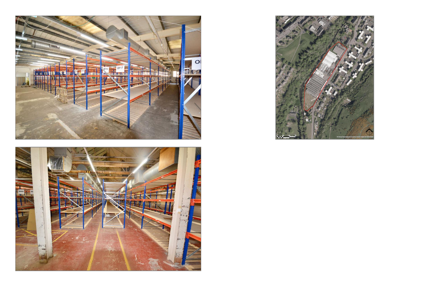